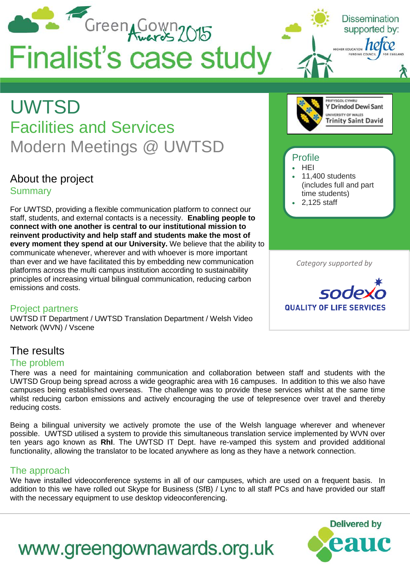

#### The problem

There was a need for maintaining communication and collaboration between staff and students with the UWTSD Group being spread across a wide geographic area with 16 campuses. In addition to this we also have campuses being established overseas. The challenge was to provide these services whilst at the same time whilst reducing carbon emissions and actively encouraging the use of telepresence over travel and thereby reducing costs.

Being a bilingual university we actively promote the use of the Welsh language wherever and whenever possible. UWTSD utilised a system to provide this simultaneous translation service implemented by WVN over ten years ago known as **RhI**. The UWTSD IT Dept. have re-vamped this system and provided additional functionality, allowing the translator to be located anywhere as long as they have a network connection.

#### The approach

We have installed videoconference systems in all of our campuses, which are used on a frequent basis. In addition to this we have rolled out Skype for Business (SfB) / Lync to all staff PCs and have provided our staff with the necessary equipment to use desktop videoconferencing.

www.greengownawards.org.uk